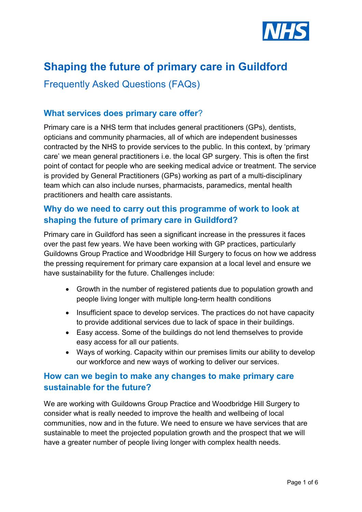

# **Shaping the future of primary care in Guildford**

Frequently Asked Questions (FAQs)

## **What services does primary care offer**?

Primary care is a NHS term that includes general practitioners (GPs), dentists, opticians and community pharmacies, all of which are independent businesses contracted by the NHS to provide services to the public. In this context, by 'primary care' we mean general practitioners i.e. the local GP surgery. This is often the first point of contact for people who are seeking medical advice or treatment. The service is provided by General Practitioners (GPs) working as part of a multi-disciplinary team which can also include nurses, pharmacists, paramedics, mental health practitioners and health care assistants.

# **Why do we need to carry out this programme of work to look at shaping the future of primary care in Guildford?**

Primary care in Guildford has seen a significant increase in the pressures it faces over the past few years. We have been working with GP practices, particularly Guildowns Group Practice and Woodbridge Hill Surgery to focus on how we address the pressing requirement for primary care expansion at a local level and ensure we have sustainability for the future. Challenges include:

- Growth in the number of registered patients due to population growth and people living longer with multiple long-term health conditions
- Insufficient space to develop services. The practices do not have capacity to provide additional services due to lack of space in their buildings.
- Easy access. Some of the buildings do not lend themselves to provide easy access for all our patients.
- Ways of working. Capacity within our premises limits our ability to develop our workforce and new ways of working to deliver our services.

## **How can we begin to make any changes to make primary care sustainable for the future?**

We are working with Guildowns Group Practice and Woodbridge Hill Surgery to consider what is really needed to improve the health and wellbeing of local communities, now and in the future. We need to ensure we have services that are sustainable to meet the projected population growth and the prospect that we will have a greater number of people living longer with complex health needs.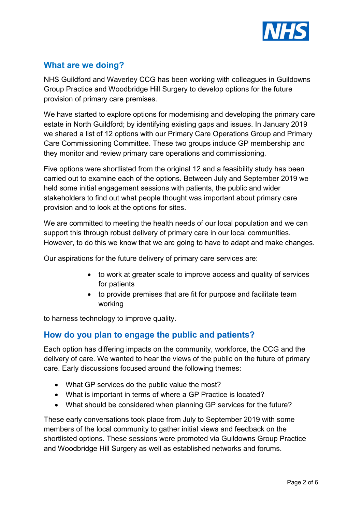

# **What are we doing?**

NHS Guildford and Waverley CCG has been working with colleagues in Guildowns Group Practice and Woodbridge Hill Surgery to develop options for the future provision of primary care premises.

We have started to explore options for modernising and developing the primary care estate in North Guildford; by identifying existing gaps and issues. In January 2019 we shared a list of 12 options with our Primary Care Operations Group and Primary Care Commissioning Committee. These two groups include GP membership and they monitor and review primary care operations and commissioning.

Five options were shortlisted from the original 12 and a feasibility study has been carried out to examine each of the options. Between July and September 2019 we held some initial engagement sessions with patients, the public and wider stakeholders to find out what people thought was important about primary care provision and to look at the options for sites.

We are committed to meeting the health needs of our local population and we can support this through robust delivery of primary care in our local communities. However, to do this we know that we are going to have to adapt and make changes.

Our aspirations for the future delivery of primary care services are:

- to work at greater scale to improve access and quality of services for patients
- to provide premises that are fit for purpose and facilitate team working

to harness technology to improve quality.

## **How do you plan to engage the public and patients?**

Each option has differing impacts on the community, workforce, the CCG and the delivery of care. We wanted to hear the views of the public on the future of primary care. Early discussions focused around the following themes:

- What GP services do the public value the most?
- What is important in terms of where a GP Practice is located?
- What should be considered when planning GP services for the future?

These early conversations took place from July to September 2019 with some members of the local community to gather initial views and feedback on the shortlisted options. These sessions were promoted via Guildowns Group Practice and Woodbridge Hill Surgery as well as established networks and forums.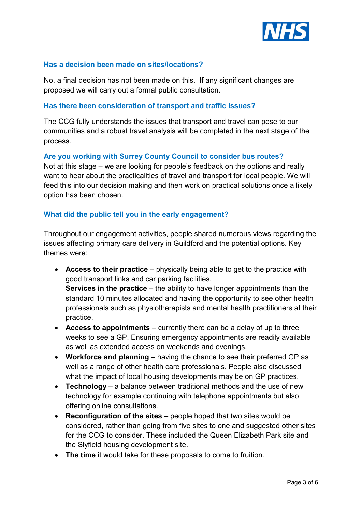

#### **Has a decision been made on sites/locations?**

No, a final decision has not been made on this. If any significant changes are proposed we will carry out a formal public consultation.

#### **Has there been consideration of transport and traffic issues?**

The CCG fully understands the issues that transport and travel can pose to our communities and a robust travel analysis will be completed in the next stage of the process.

#### **Are you working with Surrey County Council to consider bus routes?**

Not at this stage – we are looking for people's feedback on the options and really want to hear about the practicalities of travel and transport for local people. We will feed this into our decision making and then work on practical solutions once a likely option has been chosen.

#### **What did the public tell you in the early engagement?**

Throughout our engagement activities, people shared numerous views regarding the issues affecting primary care delivery in Guildford and the potential options. Key themes were:

- **Access to their practice** physically being able to get to the practice with good transport links and car parking facilities. **Services in the practice** – the ability to have longer appointments than the standard 10 minutes allocated and having the opportunity to see other health professionals such as physiotherapists and mental health practitioners at their practice.
- **Access to appointments** currently there can be a delay of up to three weeks to see a GP. Ensuring emergency appointments are readily available as well as extended access on weekends and evenings.
- **Workforce and planning** having the chance to see their preferred GP as well as a range of other health care professionals. People also discussed what the impact of local housing developments may be on GP practices.
- **Technology** a balance between traditional methods and the use of new technology for example continuing with telephone appointments but also offering online consultations.
- **Reconfiguration of the sites**  people hoped that two sites would be considered, rather than going from five sites to one and suggested other sites for the CCG to consider. These included the Queen Elizabeth Park site and the Slyfield housing development site.
- **The time** it would take for these proposals to come to fruition.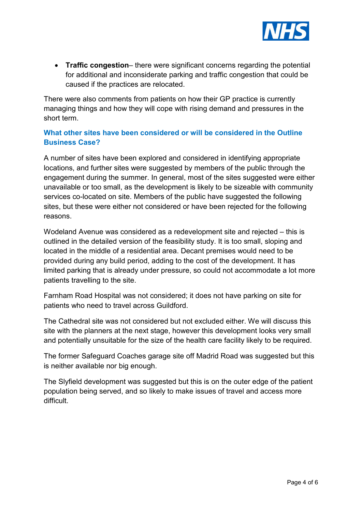

• **Traffic congestion**– there were significant concerns regarding the potential for additional and inconsiderate parking and traffic congestion that could be caused if the practices are relocated.

There were also comments from patients on how their GP practice is currently managing things and how they will cope with rising demand and pressures in the short term.

## **What other sites have been considered or will be considered in the Outline Business Case?**

A number of sites have been explored and considered in identifying appropriate locations, and further sites were suggested by members of the public through the engagement during the summer. In general, most of the sites suggested were either unavailable or too small, as the development is likely to be sizeable with community services co-located on site. Members of the public have suggested the following sites, but these were either not considered or have been rejected for the following reasons.

Wodeland Avenue was considered as a redevelopment site and rejected – this is outlined in the detailed version of the feasibility study. It is too small, sloping and located in the middle of a residential area. Decant premises would need to be provided during any build period, adding to the cost of the development. It has limited parking that is already under pressure, so could not accommodate a lot more patients travelling to the site.

Farnham Road Hospital was not considered; it does not have parking on site for patients who need to travel across Guildford.

The Cathedral site was not considered but not excluded either. We will discuss this site with the planners at the next stage, however this development looks very small and potentially unsuitable for the size of the health care facility likely to be required.

The former Safeguard Coaches garage site off Madrid Road was suggested but this is neither available nor big enough.

The Slyfield development was suggested but this is on the outer edge of the patient population being served, and so likely to make issues of travel and access more difficult.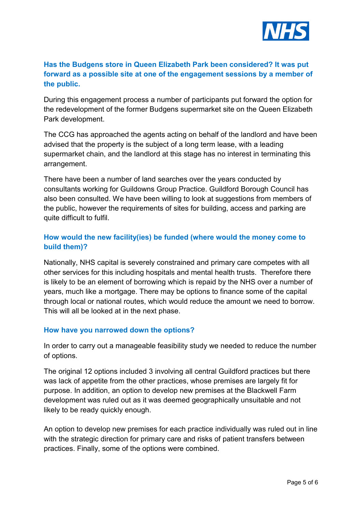

## **Has the Budgens store in Queen Elizabeth Park been considered? It was put forward as a possible site at one of the engagement sessions by a member of the public.**

During this engagement process a number of participants put forward the option for the redevelopment of the former Budgens supermarket site on the Queen Elizabeth Park development.

The CCG has approached the agents acting on behalf of the landlord and have been advised that the property is the subject of a long term lease, with a leading supermarket chain, and the landlord at this stage has no interest in terminating this arrangement.

There have been a number of land searches over the years conducted by consultants working for Guildowns Group Practice. Guildford Borough Council has also been consulted. We have been willing to look at suggestions from members of the public, however the requirements of sites for building, access and parking are quite difficult to fulfil.

## **How would the new facility(ies) be funded (where would the money come to build them)?**

Nationally, NHS capital is severely constrained and primary care competes with all other services for this including hospitals and mental health trusts. Therefore there is likely to be an element of borrowing which is repaid by the NHS over a number of years, much like a mortgage. There may be options to finance some of the capital through local or national routes, which would reduce the amount we need to borrow. This will all be looked at in the next phase.

#### **How have you narrowed down the options?**

In order to carry out a manageable feasibility study we needed to reduce the number of options.

The original 12 options included 3 involving all central Guildford practices but there was lack of appetite from the other practices, whose premises are largely fit for purpose. In addition, an option to develop new premises at the Blackwell Farm development was ruled out as it was deemed geographically unsuitable and not likely to be ready quickly enough.

An option to develop new premises for each practice individually was ruled out in line with the strategic direction for primary care and risks of patient transfers between practices. Finally, some of the options were combined.